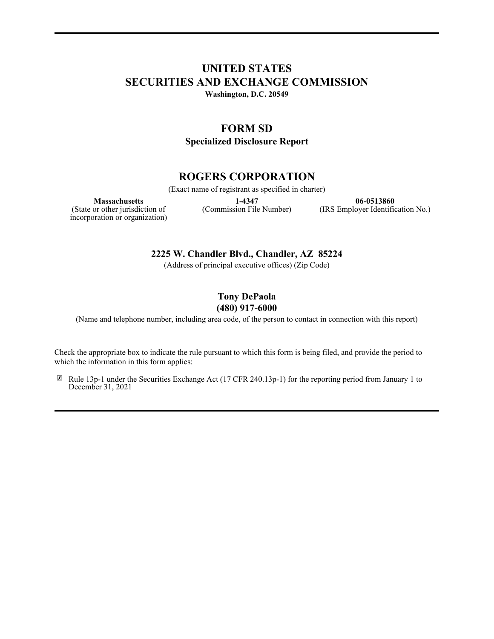## **UNITED STATES SECURITIES AND EXCHANGE COMMISSION**

**Washington, D.C. 20549**

### **FORM SD**

**Specialized Disclosure Report**

## **ROGERS CORPORATION**

(Exact name of registrant as specified in charter)

**Massachusetts**

**1-4347** (Commission File Number)

**06-0513860** (IRS Employer Identification No.)

(State or other jurisdiction of incorporation or organization)

**2225 W. Chandler Blvd., Chandler, AZ 85224**

(Address of principal executive offices) (Zip Code)

# **Tony DePaola**

**(480) 917-6000**

(Name and telephone number, including area code, of the person to contact in connection with this report)

Check the appropriate box to indicate the rule pursuant to which this form is being filed, and provide the period to which the information in this form applies:

☒ Rule 13p-1 under the Securities Exchange Act (17 CFR 240.13p-1) for the reporting period from January 1 to December 31, 2021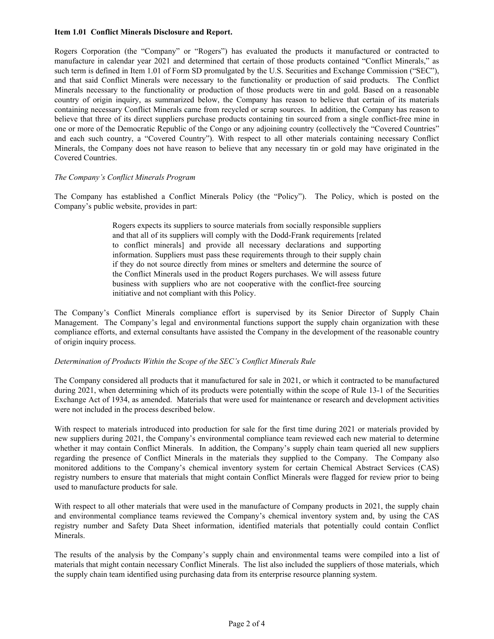#### **Item 1.01 Conflict Minerals Disclosure and Report.**

Rogers Corporation (the "Company" or "Rogers") has evaluated the products it manufactured or contracted to manufacture in calendar year 2021 and determined that certain of those products contained "Conflict Minerals," as such term is defined in Item 1.01 of Form SD promulgated by the U.S. Securities and Exchange Commission ("SEC"), and that said Conflict Minerals were necessary to the functionality or production of said products. The Conflict Minerals necessary to the functionality or production of those products were tin and gold. Based on a reasonable country of origin inquiry, as summarized below, the Company has reason to believe that certain of its materials containing necessary Conflict Minerals came from recycled or scrap sources. In addition, the Company has reason to believe that three of its direct suppliers purchase products containing tin sourced from a single conflict-free mine in one or more of the Democratic Republic of the Congo or any adjoining country (collectively the "Covered Countries" and each such country, a "Covered Country"). With respect to all other materials containing necessary Conflict Minerals, the Company does not have reason to believe that any necessary tin or gold may have originated in the Covered Countries.

#### *The Company's Conflict Minerals Program*

The Company has established a Conflict Minerals Policy (the "Policy"). The Policy, which is posted on the Company's public website, provides in part:

> Rogers expects its suppliers to source materials from socially responsible suppliers and that all of its suppliers will comply with the Dodd-Frank requirements [related to conflict minerals] and provide all necessary declarations and supporting information. Suppliers must pass these requirements through to their supply chain if they do not source directly from mines or smelters and determine the source of the Conflict Minerals used in the product Rogers purchases. We will assess future business with suppliers who are not cooperative with the conflict-free sourcing initiative and not compliant with this Policy.

The Company's Conflict Minerals compliance effort is supervised by its Senior Director of Supply Chain Management. The Company's legal and environmental functions support the supply chain organization with these compliance efforts, and external consultants have assisted the Company in the development of the reasonable country of origin inquiry process.

#### *Determination of Products Within the Scope of the SEC's Conflict Minerals Rule*

The Company considered all products that it manufactured for sale in 2021, or which it contracted to be manufactured during 2021, when determining which of its products were potentially within the scope of Rule 13-1 of the Securities Exchange Act of 1934, as amended. Materials that were used for maintenance or research and development activities were not included in the process described below.

With respect to materials introduced into production for sale for the first time during 2021 or materials provided by new suppliers during 2021, the Company's environmental compliance team reviewed each new material to determine whether it may contain Conflict Minerals. In addition, the Company's supply chain team queried all new suppliers regarding the presence of Conflict Minerals in the materials they supplied to the Company. The Company also monitored additions to the Company's chemical inventory system for certain Chemical Abstract Services (CAS) registry numbers to ensure that materials that might contain Conflict Minerals were flagged for review prior to being used to manufacture products for sale.

With respect to all other materials that were used in the manufacture of Company products in 2021, the supply chain and environmental compliance teams reviewed the Company's chemical inventory system and, by using the CAS registry number and Safety Data Sheet information, identified materials that potentially could contain Conflict Minerals.

The results of the analysis by the Company's supply chain and environmental teams were compiled into a list of materials that might contain necessary Conflict Minerals. The list also included the suppliers of those materials, which the supply chain team identified using purchasing data from its enterprise resource planning system.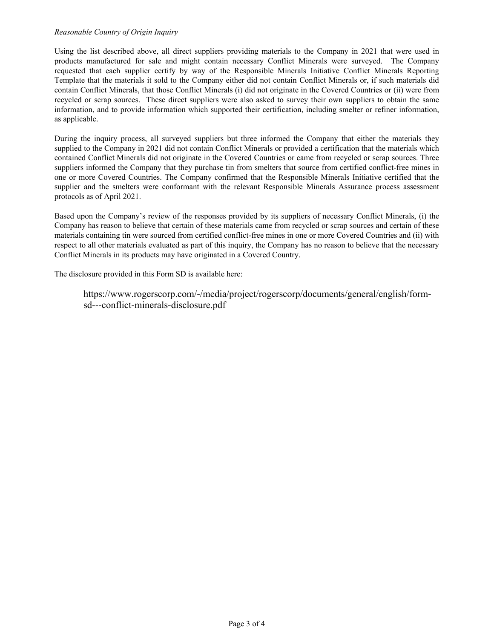#### *Reasonable Country of Origin Inquiry*

Using the list described above, all direct suppliers providing materials to the Company in 2021 that were used in products manufactured for sale and might contain necessary Conflict Minerals were surveyed. The Company requested that each supplier certify by way of the Responsible Minerals Initiative Conflict Minerals Reporting Template that the materials it sold to the Company either did not contain Conflict Minerals or, if such materials did contain Conflict Minerals, that those Conflict Minerals (i) did not originate in the Covered Countries or (ii) were from recycled or scrap sources. These direct suppliers were also asked to survey their own suppliers to obtain the same information, and to provide information which supported their certification, including smelter or refiner information, as applicable.

During the inquiry process, all surveyed suppliers but three informed the Company that either the materials they supplied to the Company in 2021 did not contain Conflict Minerals or provided a certification that the materials which contained Conflict Minerals did not originate in the Covered Countries or came from recycled or scrap sources. Three suppliers informed the Company that they purchase tin from smelters that source from certified conflict-free mines in one or more Covered Countries. The Company confirmed that the Responsible Minerals Initiative certified that the supplier and the smelters were conformant with the relevant Responsible Minerals Assurance process assessment protocols as of April 2021.

Based upon the Company's review of the responses provided by its suppliers of necessary Conflict Minerals, (i) the Company has reason to believe that certain of these materials came from recycled or scrap sources and certain of these materials containing tin were sourced from certified conflict-free mines in one or more Covered Countries and (ii) with respect to all other materials evaluated as part of this inquiry, the Company has no reason to believe that the necessary Conflict Minerals in its products may have originated in a Covered Country.

The disclosure provided in this Form SD is available here:

https://www.rogerscorp.com/-/media/project/rogerscorp/documents/general/english/formsd---conflict-minerals-disclosure.pdf